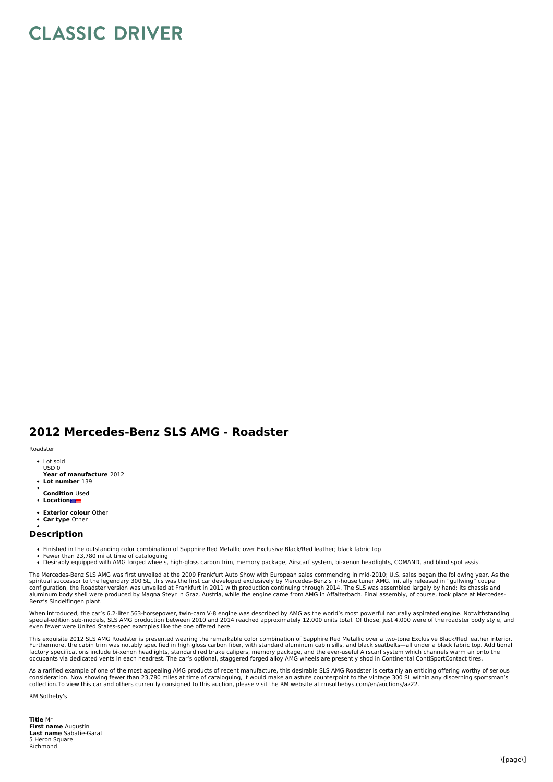## **CLASSIC DRIVER**

## **2012 Mercedes-Benz SLS AMG - Roadster**

## Roadster

- Lot sold USD 0
- **Year of manufacture** 2012
- **Lot number** 139
- **Condition** Used
- **Location**
- **Exterior colour** Other
- **Car type** Other

## **Description**

- Finished in the outstanding color combination of Sapphire Red Metallic over Exclusive Black/Red leather; black fabric top Fewer than 23,780 mi at time of cataloguing
- 
- Desirably equipped with AMG forged wheels, high-gloss carbon trim, memory package, Airscarf system, bi-xenon headlights, COMAND, and blind spot assist

The Mercedes-Benz SLS AMG was first unveiled at the 2009 Frankfurt Auto Show with European sales commencing in mid-2010; U.S. sales began the following year. As the spiritual successor to the legendary 300 SL, this was the first car developed exclusively by Mercedes-Benz's in-house tuner AMG. Initially released in "gullwing" coupe<br>configuration, the Roadster version was unveiled at Fr Benz's Sindelfingen plant.

When introduced, the car's 6.2-liter 563-horsepower, twin-cam V-8 engine was described by AMG as the world's most powerful naturally aspirated engine. Notwithstanding<br>special-edition sub-models, SLS AMG production between even fewer were United States-spec examples like the one offered here.

This exquisite 2012 SLS AMG Roadster is presented wearing the remarkable color combination of Sapphire Red Metallic over a two-tone Exclusive Black/Red leather interior. Furthermore, the cabin trim was notably specified in high gloss carbon fiber, with standard aluminum cabin sills, and black seatbelts—all under a black fabric top. Additional<br>factory specifications include bi-xenon headlig occupants via dedicated vents in each headrest. The car's optional, staggered forged alloy AMG wheels are presently shod in Continental ContiSportContact tires.

As a rarified example of one of the most appealing AMG products of recent manufacture, this desirable SLS AMG Roadster is certainly an enticing offering worthy of serious consideration. Now showing fewer than 23,780 miles at time of cataloguing, it would make an astute counterpoint to the vintage 300 SL within any discerning sportsman's<br>collection.To view this car and others currently consi

RM Sotheby's

**Title** Mr **First name** Augustin **Last name** Sabatie-Garat 5 Heron Square Richmond